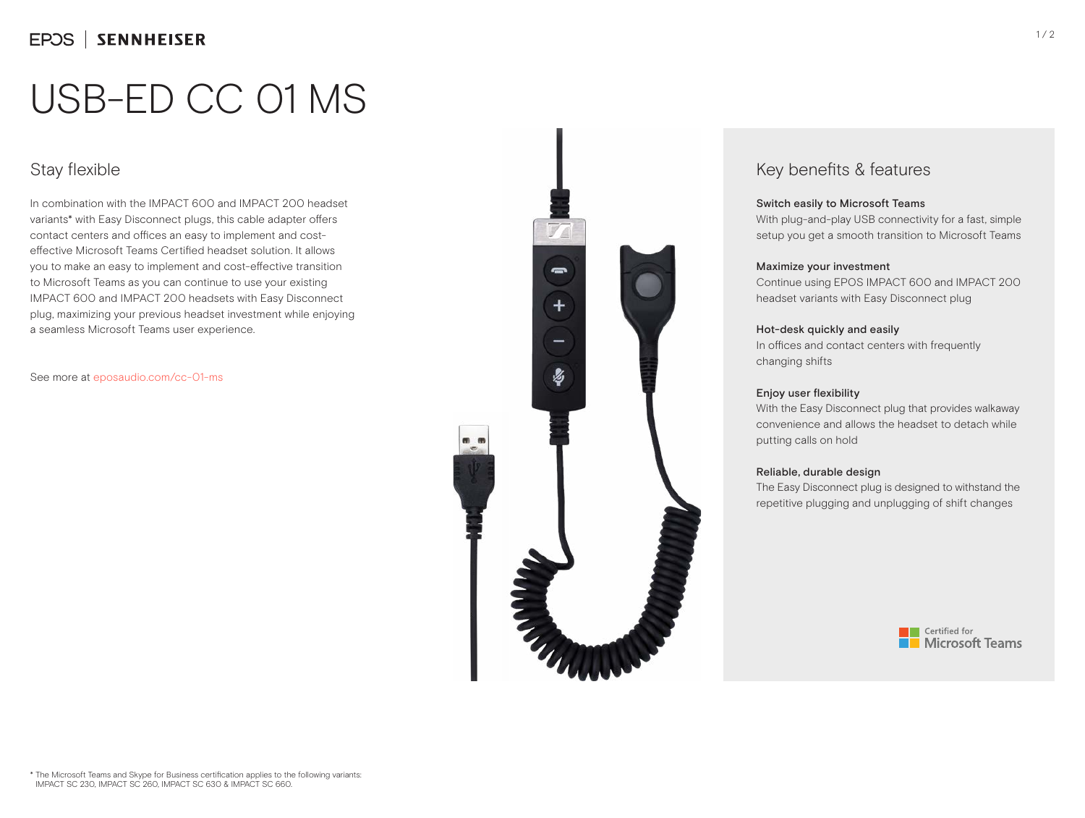# USB-ED CC 01 MS

# Stay flexible

In combination with the IMPACT 600 and IMPACT 200 headset variants\* with Easy Disconnect plugs, this cable adapter offers contact centers and offices an easy to implement and costeffective Microsoft Teams Certified headset solution. It allows you to make an easy to implement and cost-effective transition to Microsoft Teams as you can continue to use your existing IMPACT 600 and IMPACT 200 headsets with Easy Disconnect plug, maximizing your previous headset investment while enjoying a seamless Microsoft Teams user experience.

See more at eposaudio.com/cc-01-ms



## Key benefits & features

#### Switch easily to Microsoft Teams

With plug-and-play USB connectivity for a fast, simple setup you get a smooth transition to Microsoft Teams

#### Maximize your investment

Continue using EPOS IMPACT 600 and IMPACT 200 headset variants with Easy Disconnect plug

#### Hot-desk quickly and easily

In offices and contact centers with frequently changing shifts

#### Enjoy user flexibility

With the Easy Disconnect plug that provides walkaway convenience and allows the headset to detach while putting calls on hold

#### Reliable, durable design

The Easy Disconnect plug is designed to withstand the repetitive plugging and unplugging of shift changes